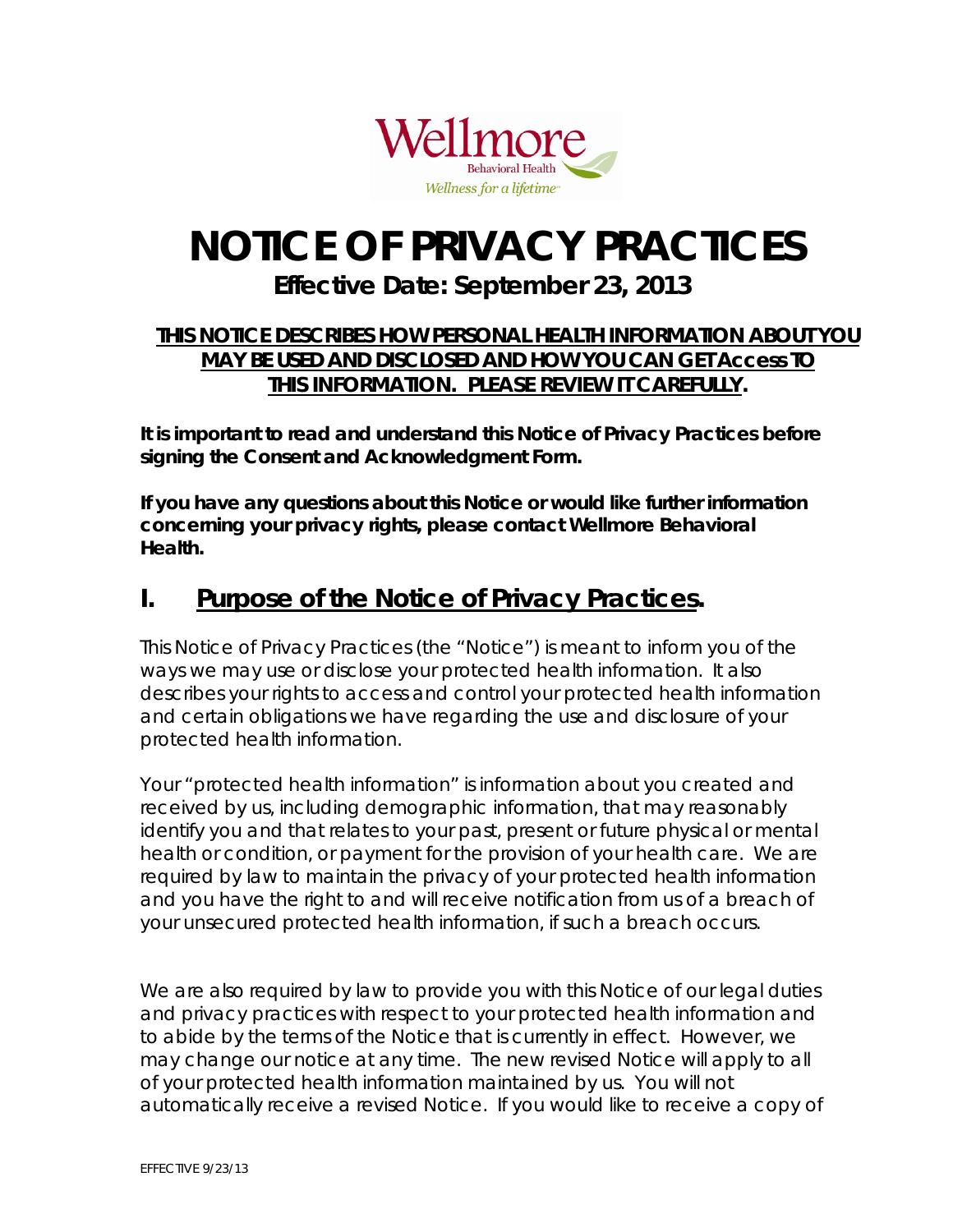

# **NOTICE OF PRIVACY PRACTICES**

### **Effective Date: September 23, 2013**

#### **THIS NOTICE DESCRIBES HOW PERSONAL HEALTH INFORMATION ABOUT YOU MAY BE USED AND DISCLOSED AND HOW YOU CAN GET Access TO THIS INFORMATION. PLEASE REVIEW IT CAREFULLY.**

**It is important to read and understand this Notice of Privacy Practices before signing the Consent and Acknowledgment Form.** 

**If you have any questions about this Notice or would like further information concerning your privacy rights, please contact Wellmore Behavioral Health.** 

## **I. Purpose of the Notice of Privacy Practices.**

This Notice of Privacy Practices (the "Notice") is meant to inform you of the ways we may use or disclose your protected health information. It also describes your rights to access and control your protected health information and certain obligations we have regarding the use and disclosure of your protected health information.

Your "protected health information" is information about you created and received by us, including demographic information, that may reasonably identify you and that relates to your past, present or future physical or mental health or condition, or payment for the provision of your health care. We are required by law to maintain the privacy of your protected health information and you have the right to and will receive notification from us of a breach of your unsecured protected health information, if such a breach occurs.

We are also required by law to provide you with this Notice of our legal duties and privacy practices with respect to your protected health information and to abide by the terms of the Notice that is currently in effect. However, we may change our notice at any time. The new revised Notice will apply to all of your protected health information maintained by us. You will not automatically receive a revised Notice. If you would like to receive a copy of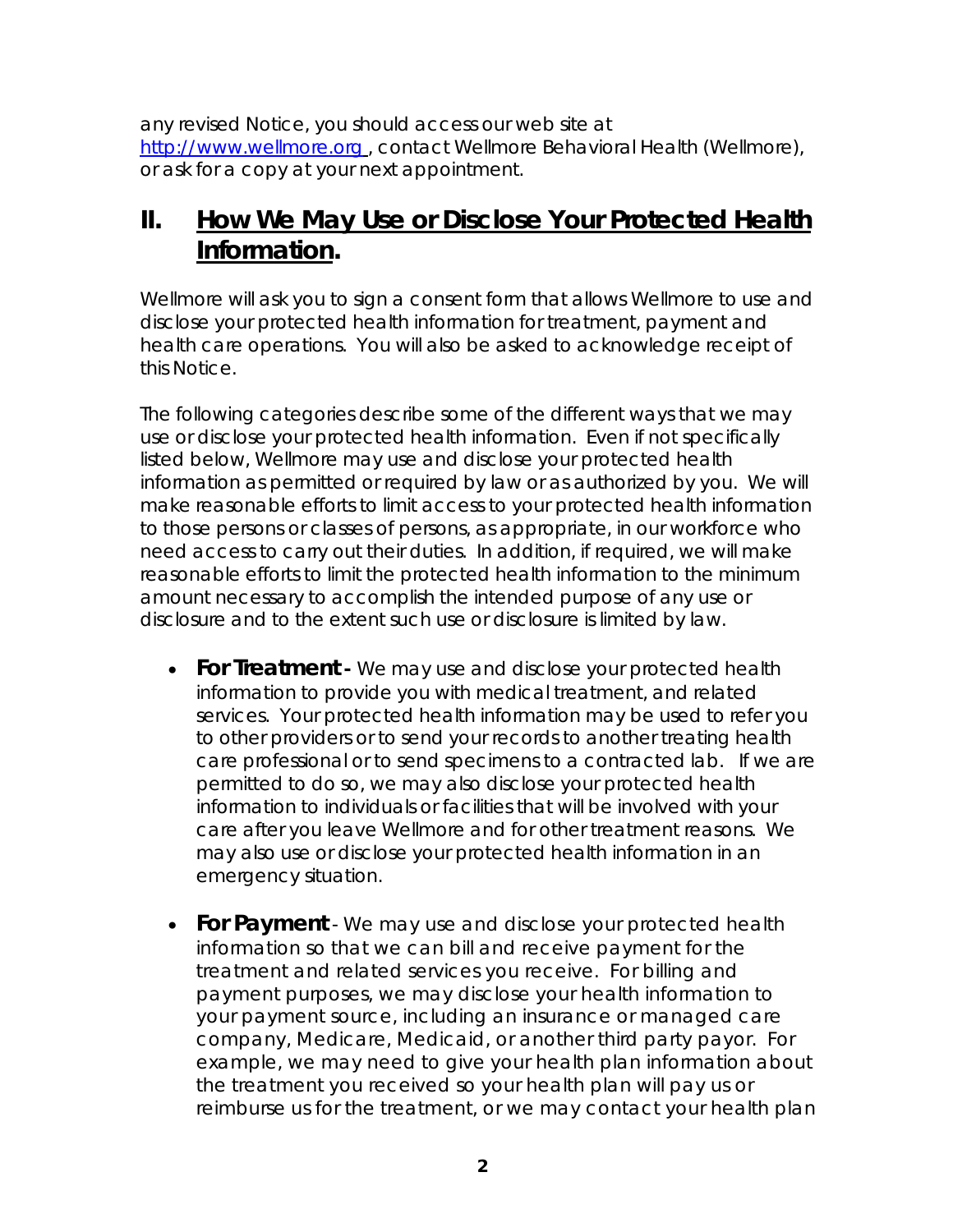any revised Notice, you should access our web site at http://www.wellmore.org , contact Wellmore Behavioral Health (Wellmore), or ask for a copy at your next appointment.

## **II. How We May Use or Disclose Your Protected Health Information.**

Wellmore will ask you to sign a consent form that allows Wellmore to use and disclose your protected health information for treatment, payment and health care operations. You will also be asked to acknowledge receipt of this Notice.

The following categories describe some of the different ways that we may use or disclose your protected health information. Even if not specifically listed below, Wellmore may use and disclose your protected health information as permitted or required by law or as authorized by you. We will make reasonable efforts to limit access to your protected health information to those persons or classes of persons, as appropriate, in our workforce who need access to carry out their duties. In addition, if required, we will make reasonable efforts to limit the protected health information to the minimum amount necessary to accomplish the intended purpose of any use or disclosure and to the extent such use or disclosure is limited by law.

- **For Treatment -** We may use and disclose your protected health information to provide you with medical treatment, and related services. Your protected health information may be used to refer you to other providers or to send your records to another treating health care professional or to send specimens to a contracted lab. If we are permitted to do so, we may also disclose your protected health information to individuals or facilities that will be involved with your care after you leave Wellmore and for other treatment reasons. We may also use or disclose your protected health information in an emergency situation.
- **For Payment** We may use and disclose your protected health information so that we can bill and receive payment for the treatment and related services you receive. For billing and payment purposes, we may disclose your health information to your payment source, including an insurance or managed care company, Medicare, Medicaid, or another third party payor. For example, we may need to give your health plan information about the treatment you received so your health plan will pay us or reimburse us for the treatment, or we may contact your health plan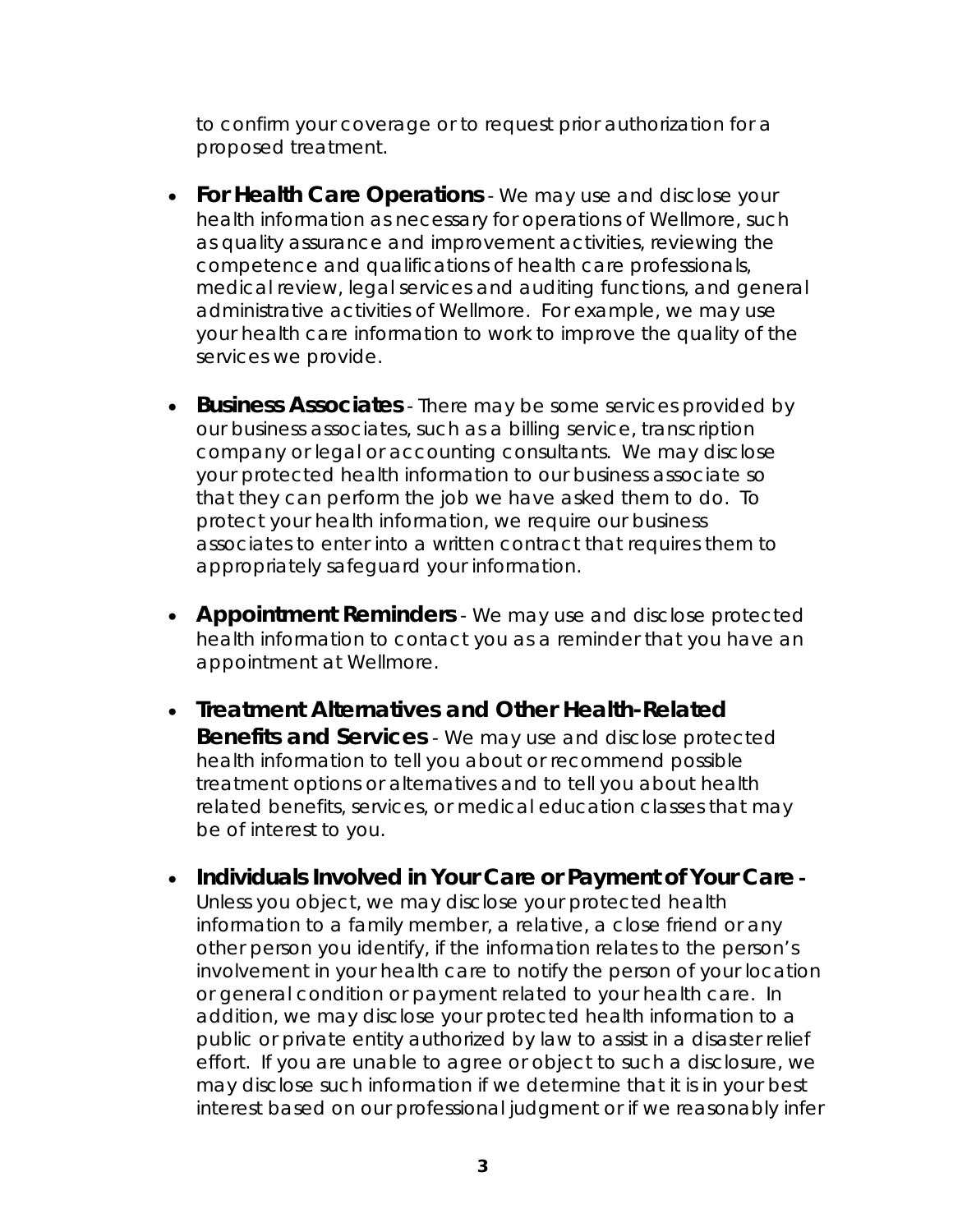to confirm your coverage or to request prior authorization for a proposed treatment.

- **For Health Care Operations** We may use and disclose your health information as necessary for operations of Wellmore, such as quality assurance and improvement activities, reviewing the competence and qualifications of health care professionals, medical review, legal services and auditing functions, and general administrative activities of Wellmore. For example, we may use your health care information to work to improve the quality of the services we provide.
- **Business Associates** There may be some services provided by our business associates, such as a billing service, transcription company or legal or accounting consultants. We may disclose your protected health information to our business associate so that they can perform the job we have asked them to do. To protect your health information, we require our business associates to enter into a written contract that requires them to appropriately safeguard your information.
- **Appointment Reminders** We may use and disclose protected health information to contact you as a reminder that you have an appointment at Wellmore.
- **Treatment Alternatives and Other Health-Related Benefits and Services** - We may use and disclose protected health information to tell you about or recommend possible treatment options or alternatives and to tell you about health related benefits, services, or medical education classes that may be of interest to you.
- **Individuals Involved in Your Care or Payment of Your Care**  Unless you object, we may disclose your protected health information to a family member, a relative, a close friend or any other person you identify, if the information relates to the person's involvement in your health care to notify the person of your location or general condition or payment related to your health care. In addition, we may disclose your protected health information to a public or private entity authorized by law to assist in a disaster relief effort. If you are unable to agree or object to such a disclosure, we may disclose such information if we determine that it is in your best interest based on our professional judgment or if we reasonably infer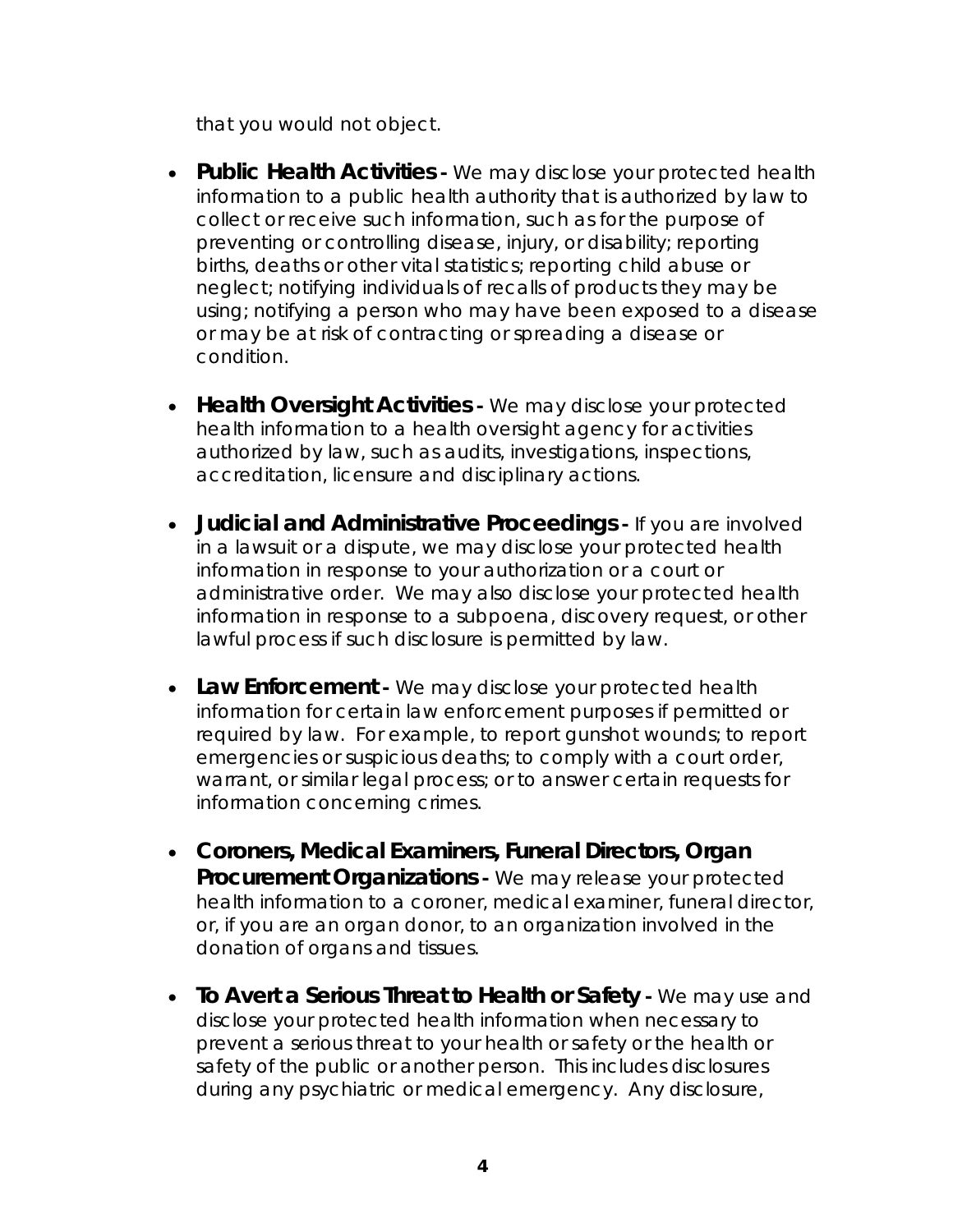that you would not object.

- **Public Health Activities** We may disclose your protected health information to a public health authority that is authorized by law to collect or receive such information, such as for the purpose of preventing or controlling disease, injury, or disability; reporting births, deaths or other vital statistics; reporting child abuse or neglect; notifying individuals of recalls of products they may be using; notifying a person who may have been exposed to a disease or may be at risk of contracting or spreading a disease or condition.
- **Health Oversight Activities** We may disclose your protected health information to a health oversight agency for activities authorized by law, such as audits, investigations, inspections, accreditation, licensure and disciplinary actions.
- **Judicial and Administrative Proceedings** If you are involved in a lawsuit or a dispute, we may disclose your protected health information in response to your authorization or a court or administrative order. We may also disclose your protected health information in response to a subpoena, discovery request, or other lawful process if such disclosure is permitted by law.
- Law Enforcement We may disclose your protected health information for certain law enforcement purposes if permitted or required by law. For example, to report gunshot wounds; to report emergencies or suspicious deaths; to comply with a court order, warrant, or similar legal process; or to answer certain requests for information concerning crimes.
- **Coroners, Medical Examiners, Funeral Directors, Organ Procurement Organizations -** We may release your protected health information to a coroner, medical examiner, funeral director, or, if you are an organ donor, to an organization involved in the donation of organs and tissues.
- **To Avert a Serious Threat to Health or Safety -** We may use and disclose your protected health information when necessary to prevent a serious threat to your health or safety or the health or safety of the public or another person. This includes disclosures during any psychiatric or medical emergency. Any disclosure,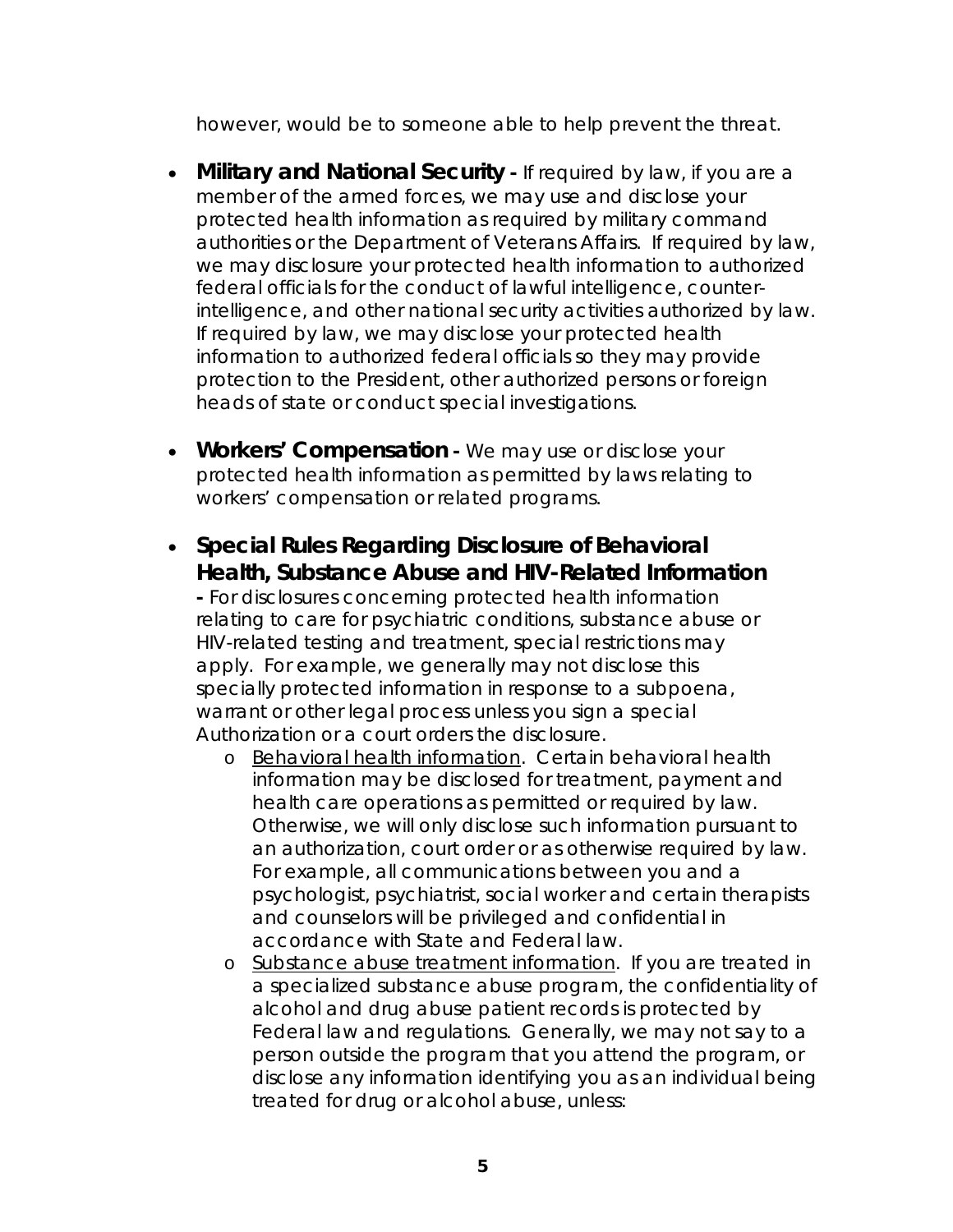however, would be to someone able to help prevent the threat.

- **Military and National Security** If required by law, if you are a member of the armed forces, we may use and disclose your protected health information as required by military command authorities or the Department of Veterans Affairs. If required by law, we may disclosure your protected health information to authorized federal officials for the conduct of lawful intelligence, counterintelligence, and other national security activities authorized by law. If required by law, we may disclose your protected health information to authorized federal officials so they may provide protection to the President, other authorized persons or foreign heads of state or conduct special investigations.
- **Workers' Compensation** We may use or disclose your protected health information as permitted by laws relating to workers' compensation or related programs.
- **Special Rules Regarding Disclosure of Behavioral Health, Substance Abuse and HIV-Related Information**

**-** For disclosures concerning protected health information relating to care for psychiatric conditions, substance abuse or HIV-related testing and treatment, special restrictions may apply. For example, we generally may not disclose this specially protected information in response to a subpoena, warrant or other legal process unless you sign a special Authorization or a court orders the disclosure.

- o Behavioral health information. Certain behavioral health information may be disclosed for treatment, payment and health care operations as permitted or required by law. Otherwise, we will only disclose such information pursuant to an authorization, court order or as otherwise required by law. For example, all communications between you and a psychologist, psychiatrist, social worker and certain therapists and counselors will be privileged and confidential in accordance with State and Federal law.
- o Substance abuse treatment information. If you are treated in a specialized substance abuse program, the confidentiality of alcohol and drug abuse patient records is protected by Federal law and regulations. Generally, we may not say to a person outside the program that you attend the program, or disclose any information identifying you as an individual being treated for drug or alcohol abuse, unless: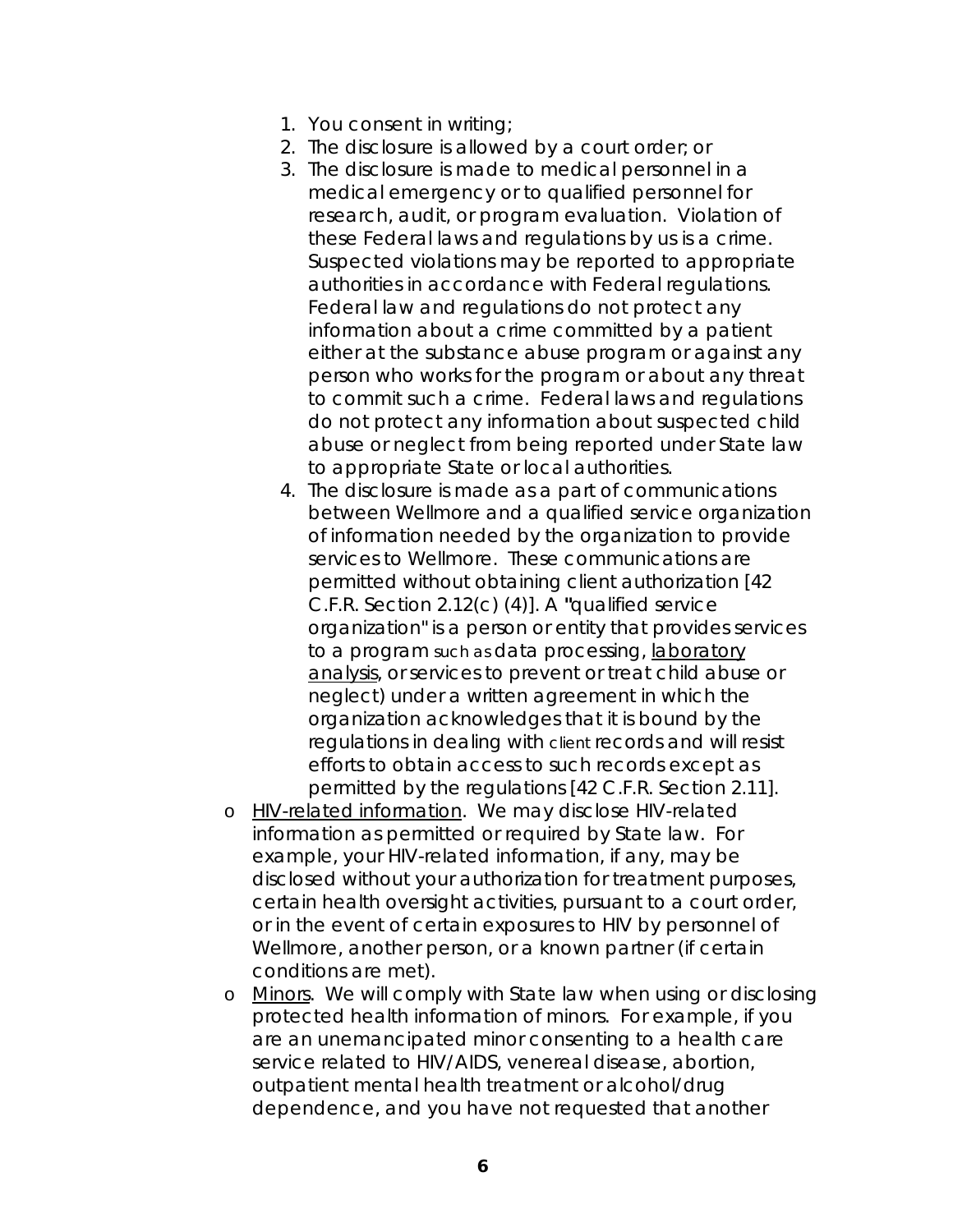- 1. You consent in writing;
- 2. The disclosure is allowed by a court order; or
- 3. The disclosure is made to medical personnel in a medical emergency or to qualified personnel for research, audit, or program evaluation. Violation of these Federal laws and regulations by us is a crime. Suspected violations may be reported to appropriate authorities in accordance with Federal regulations. Federal law and regulations do not protect any information about a crime committed by a patient either at the substance abuse program or against any person who works for the program or about any threat to commit such a crime. Federal laws and regulations do not protect any information about suspected child abuse or neglect from being reported under State law to appropriate State or local authorities.
- 4. The disclosure is made as a part of communications between Wellmore and a qualified service organization of information needed by the organization to provide services to Wellmore. These communications are permitted without obtaining client authorization [42 C.F.R. Section 2.12(c) (4)]. A **"**qualified service organization" is a person or entity that provides services to a program such as data processing, laboratory analysis, or services to prevent or treat child abuse or neglect) under a written agreement in which the organization acknowledges that it is bound by the regulations in dealing with client records and will resist efforts to obtain access to such records except as permitted by the regulations [42 C.F.R. Section 2.11].
- o HIV-related information. We may disclose HIV-related information as permitted or required by State law. For example, your HIV-related information, if any, may be disclosed without your authorization for treatment purposes, certain health oversight activities, pursuant to a court order, or in the event of certain exposures to HIV by personnel of Wellmore, another person, or a known partner (if certain conditions are met).
- o Minors. We will comply with State law when using or disclosing protected health information of minors. For example, if you are an unemancipated minor consenting to a health care service related to HIV/AIDS, venereal disease, abortion, outpatient mental health treatment or alcohol/drug dependence, and you have not requested that another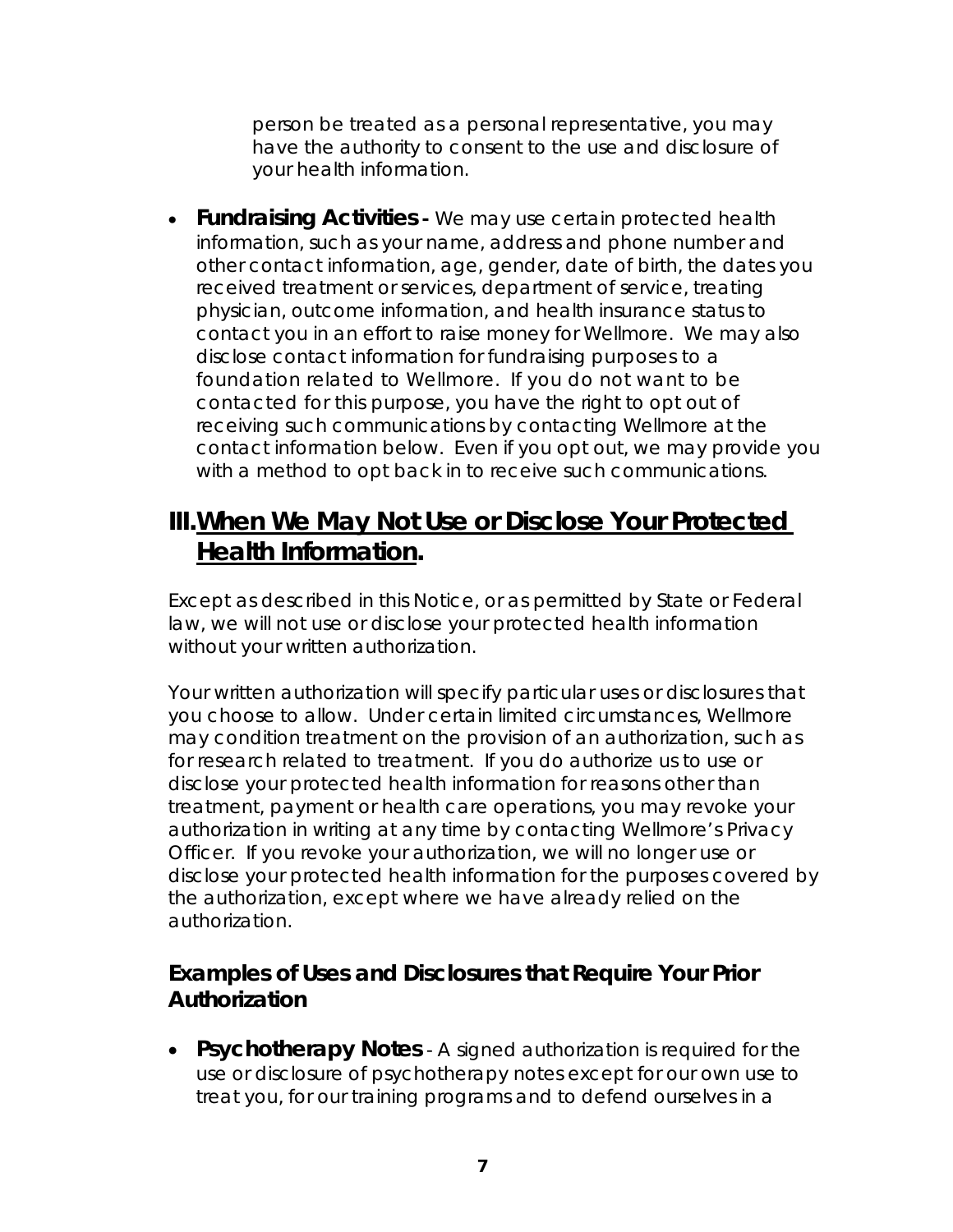person be treated as a personal representative, you may have the authority to consent to the use and disclosure of your health information.

 **Fundraising Activities -** We may use certain protected health information, such as your name, address and phone number and other contact information, age, gender, date of birth, the dates you received treatment or services, department of service, treating physician, outcome information, and health insurance status to contact you in an effort to raise money for Wellmore. We may also disclose contact information for fundraising purposes to a foundation related to Wellmore. If you do not want to be contacted for this purpose, you have the right to opt out of receiving such communications by contacting Wellmore at the contact information below. Even if you opt out, we may provide you with a method to opt back in to receive such communications.

### **III. When We May Not Use or Disclose Your Protected Health Information.**

Except as described in this Notice, or as permitted by State or Federal law, we will not use or disclose your protected health information without your written authorization.

Your written authorization will specify particular uses or disclosures that you choose to allow. Under certain limited circumstances, Wellmore may condition treatment on the provision of an authorization, such as for research related to treatment. If you do authorize us to use or disclose your protected health information for reasons other than treatment, payment or health care operations, you may revoke your authorization in writing at any time by contacting Wellmore's Privacy Officer. If you revoke your authorization, we will no longer use or disclose your protected health information for the purposes covered by the authorization, except where we have already relied on the authorization.

#### **Examples of Uses and Disclosures that Require Your Prior Authorization**

 **Psychotherapy Notes** - A signed authorization is required for the use or disclosure of psychotherapy notes except for our own use to treat you, for our training programs and to defend ourselves in a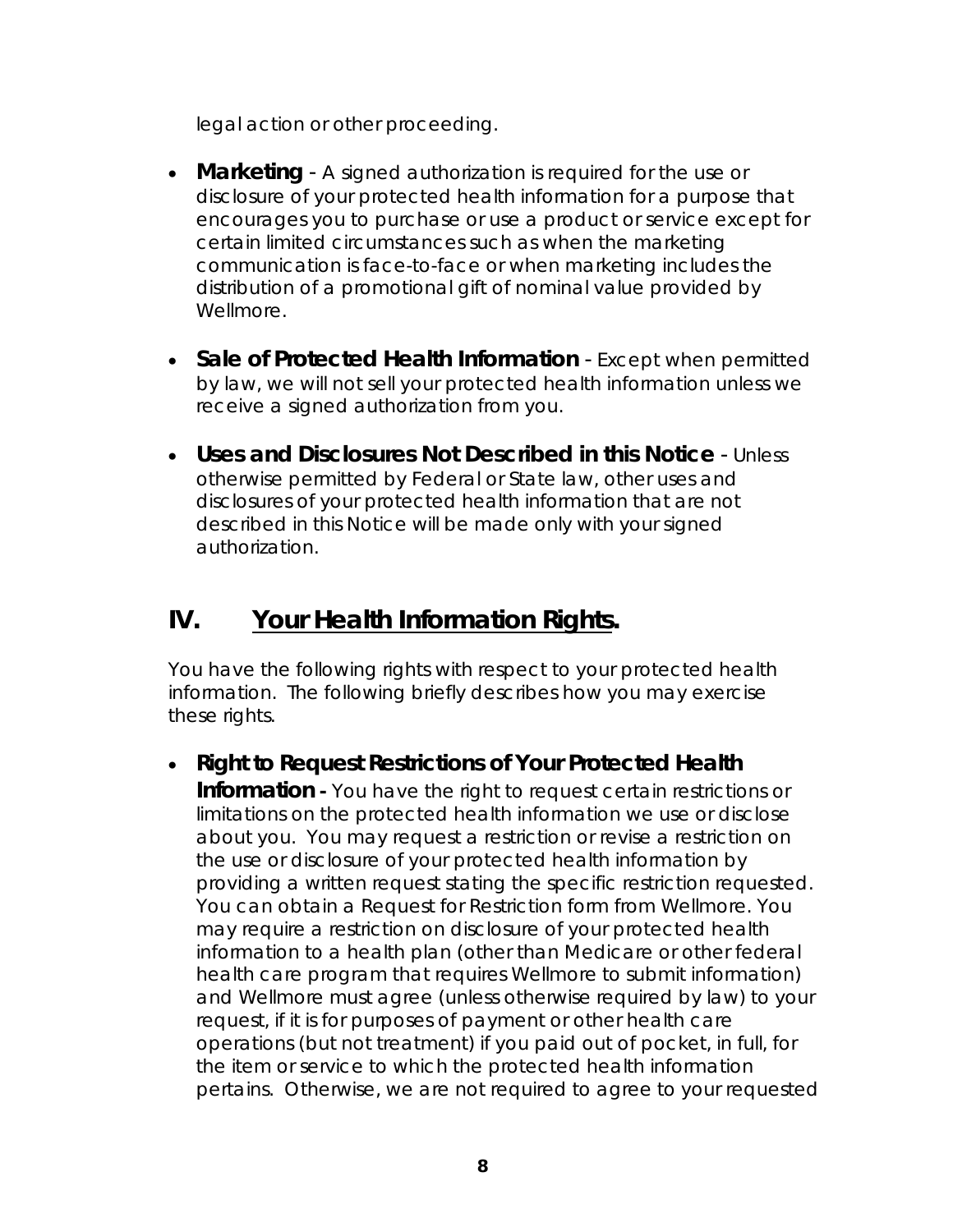legal action or other proceeding.

- **Marketing**  A signed authorization is required for the use or disclosure of your protected health information for a purpose that encourages you to purchase or use a product or service except for certain limited circumstances such as when the marketing communication is face-to-face or when marketing includes the distribution of a promotional gift of nominal value provided by Wellmore.
- **Sale of Protected Health Information** Except when permitted by law, we will not sell your protected health information unless we receive a signed authorization from you.
- **Uses and Disclosures Not Described in this Notice** Unless otherwise permitted by Federal or State law, other uses and disclosures of your protected health information that are not described in this Notice will be made only with your signed authorization.

# **IV. Your Health Information Rights.**

You have the following rights with respect to your protected health information. The following briefly describes how you may exercise these rights.

**Right to Request Restrictions of Your Protected Health** 

**Information** - You have the right to request certain restrictions or limitations on the protected health information we use or disclose about you. You may request a restriction or revise a restriction on the use or disclosure of your protected health information by providing a written request stating the specific restriction requested. You can obtain a Request for Restriction form from Wellmore. You may require a restriction on disclosure of your protected health information to a health plan (other than Medicare or other federal health care program that requires Wellmore to submit information) and Wellmore must agree (unless otherwise required by law) to your request, if it is for purposes of payment or other health care operations (but not treatment) if you paid out of pocket, in full, for the item or service to which the protected health information pertains. Otherwise, we are not required to agree to your requested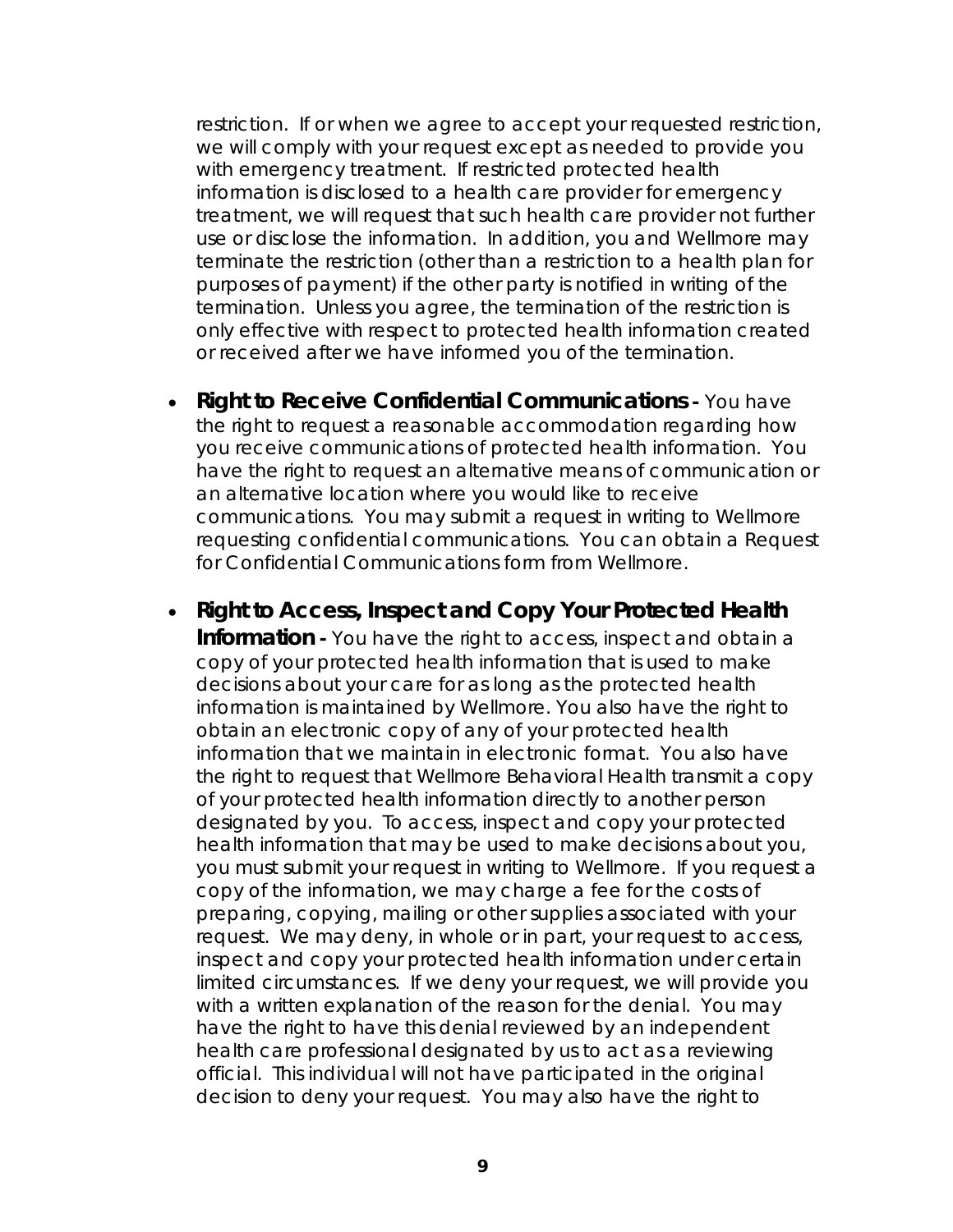restriction. If or when we agree to accept your requested restriction, we will comply with your request except as needed to provide you with emergency treatment. If restricted protected health information is disclosed to a health care provider for emergency treatment, we will request that such health care provider not further use or disclose the information. In addition, you and Wellmore may terminate the restriction (other than a restriction to a health plan for purposes of payment) if the other party is notified in writing of the termination. Unless you agree, the termination of the restriction is only effective with respect to protected health information created or received after we have informed you of the termination.

- **Right to Receive Confidential Communications You have** the right to request a reasonable accommodation regarding how you receive communications of protected health information. You have the right to request an alternative means of communication or an alternative location where you would like to receive communications. You may submit a request in writing to Wellmore requesting confidential communications. You can obtain a Request for Confidential Communications form from Wellmore.
- **Right to Access, Inspect and Copy Your Protected Health Information -** You have the right to access, inspect and obtain a copy of your protected health information that is used to make decisions about your care for as long as the protected health information is maintained by Wellmore. You also have the right to obtain an electronic copy of any of your protected health information that we maintain in electronic format. You also have the right to request that Wellmore Behavioral Health transmit a copy of your protected health information directly to another person designated by you. To access, inspect and copy your protected health information that may be used to make decisions about you, you must submit your request in writing to Wellmore. If you request a copy of the information, we may charge a fee for the costs of preparing, copying, mailing or other supplies associated with your request. We may deny, in whole or in part, your request to access, inspect and copy your protected health information under certain limited circumstances. If we deny your request, we will provide you with a written explanation of the reason for the denial. You may have the right to have this denial reviewed by an independent health care professional designated by us to act as a reviewing official. This individual will not have participated in the original decision to deny your request. You may also have the right to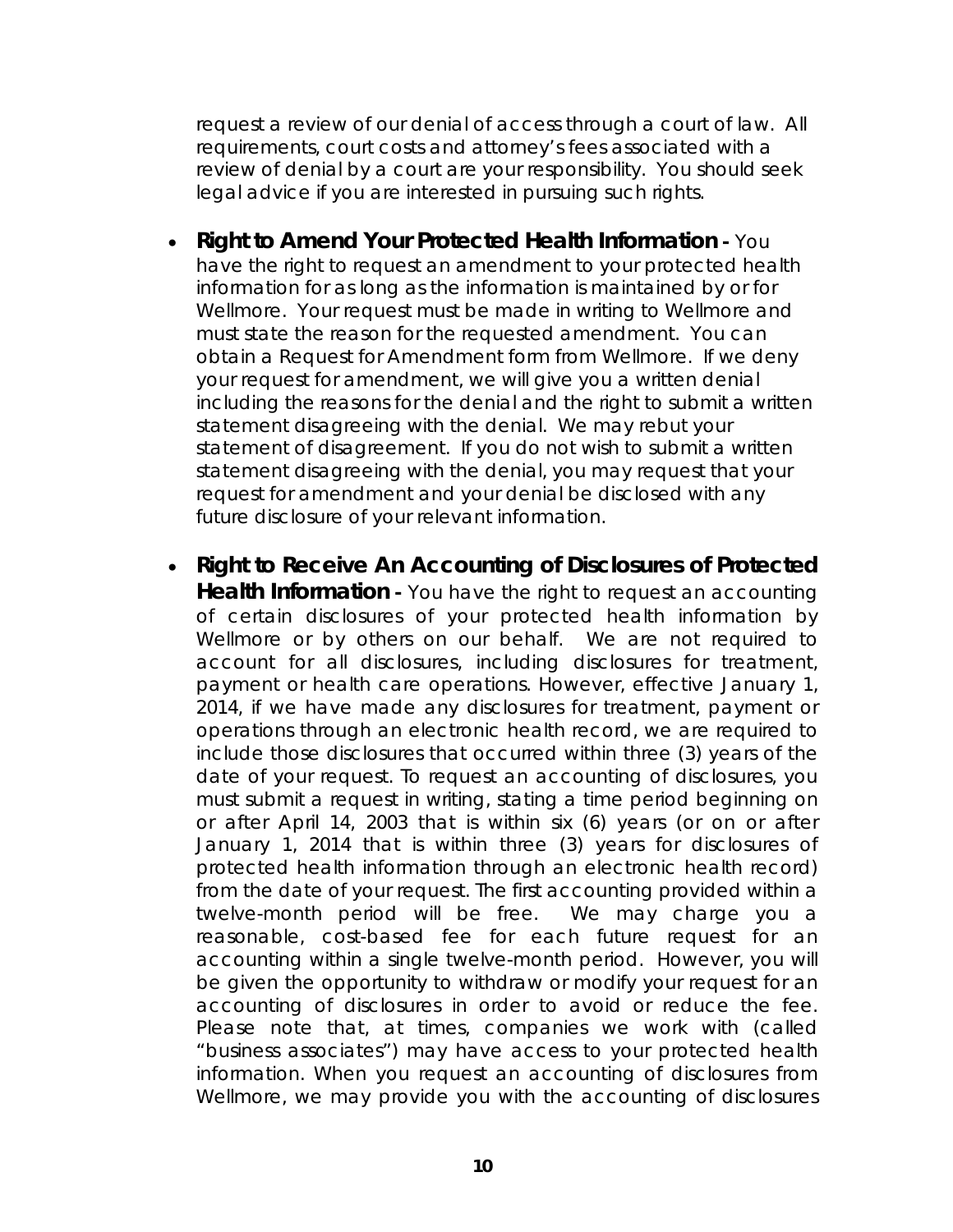request a review of our denial of access through a court of law. All requirements, court costs and attorney's fees associated with a review of denial by a court are your responsibility. You should seek legal advice if you are interested in pursuing such rights.

- **Right to Amend Your Protected Health Information** You have the right to request an amendment to your protected health information for as long as the information is maintained by or for Wellmore. Your request must be made in writing to Wellmore and must state the reason for the requested amendment. You can obtain a Request for Amendment form from Wellmore. If we deny your request for amendment, we will give you a written denial including the reasons for the denial and the right to submit a written statement disagreeing with the denial. We may rebut your statement of disagreement. If you do not wish to submit a written statement disagreeing with the denial, you may request that your request for amendment and your denial be disclosed with any future disclosure of your relevant information.
- **Right to Receive An Accounting of Disclosures of Protected Health Information -** You have the right to request an accounting of certain disclosures of your protected health information by Wellmore or by others on our behalf. We are not required to account for all disclosures, including disclosures for treatment, payment or health care operations. However, effective January 1, 2014, if we have made any disclosures for treatment, payment or operations through an electronic health record, we are required to include those disclosures that occurred within three (3) years of the date of your request. To request an accounting of disclosures, you must submit a request in writing, stating a time period beginning on or after April 14, 2003 that is within six (6) years (or on or after January 1, 2014 that is within three (3) years for disclosures of protected health information through an electronic health record) from the date of your request. The first accounting provided within a twelve-month period will be free. We may charge you a reasonable, cost-based fee for each future request for an accounting within a single twelve-month period. However, you will be given the opportunity to withdraw or modify your request for an accounting of disclosures in order to avoid or reduce the fee. Please note that, at times, companies we work with (called "business associates") may have access to your protected health information. When you request an accounting of disclosures from Wellmore, we may provide you with the accounting of disclosures